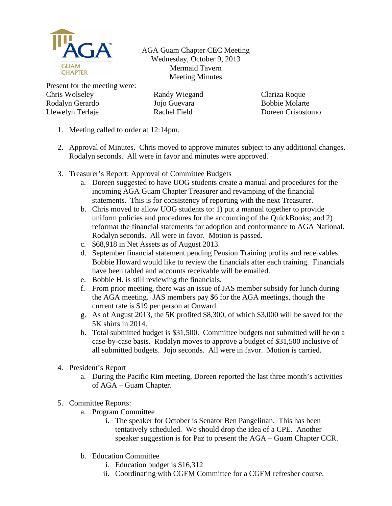

AGA Guam Chapter CEC Meeting Wednesday, October 9, 2013 Mermaid Tavern Meeting Minutes

Present for the meeting were: Chris Wolseley Rodalyn Gerardo Llewelyn Terlaje

Randy Wiegand Jojo Guevara Rachel Field

Clariza Roque Bobbie Molarte Doreen Crisostomo

- 1. Meeting called to order at 12:14pm.
- 2. Approval of Minutes. Chris moved to approve minutes subject to any additional changes. Rodalyn seconds. All were in favor and minutes were approved.
- 3. Treasurer's Report: Approval of Committee Budgets
	- a. Doreen suggested to have UOG students create a manual and procedures for the incoming AGA Guam Chapter Treasurer and revamping of the financial statements. This is for consistency of reporting with the next Treasurer.
	- b. Chris moved to allow UOG students to: 1) put a manual together to provide uniform policies and procedures for the accounting of the QuickBooks; and 2) reformat the financial statements for adoption and conformance to AGA National. Rodalyn seconds. All were in favor. Motion is passed.
	- c. \$68,918 in Net Assets as of August 2013.
	- d. September financial statement pending Pension Training profits and receivables. Bobbie Howard would like to review the financials after each training. Financials have been tabled and accounts receivable will be emailed.
	- e. Bobbie H. is still reviewing the financials.
	- f. From prior meeting, there was an issue of JAS member subsidy for lunch during the AGA meeting. JAS members pay \$6 for the AGA meetings, though the current rate is \$19 per person at Onward.
	- g. As of August 2013, the 5K profited \$8,300, of which \$3,000 will be saved for the 5K shirts in 2014.
	- h. Total submitted budget is \$31,500. Committee budgets not submitted will be on a case-by-case basis. Rodalyn moves to approve a budget of \$31,500 inclusive of all submitted budgets. Jojo seconds. All were in favor. Motion is carried.
- 4. President's Report
	- a. During the Pacific Rim meeting, Doreen reported the last three month's activities of AGA – Guam Chapter.
- 5. Committee Reports:
	- a. Program Committee
		- i. The speaker for October is Senator Ben Pangelinan. This has been tentatively scheduled. We should drop the idea of a CPE. Another speaker suggestion is for Paz to present the AGA – Guam Chapter CCR.
	- b. Education Committee
		- i. Education budget is \$16,312
		- ii. Coordinating with CGFM Committee for a CGFM refresher course.